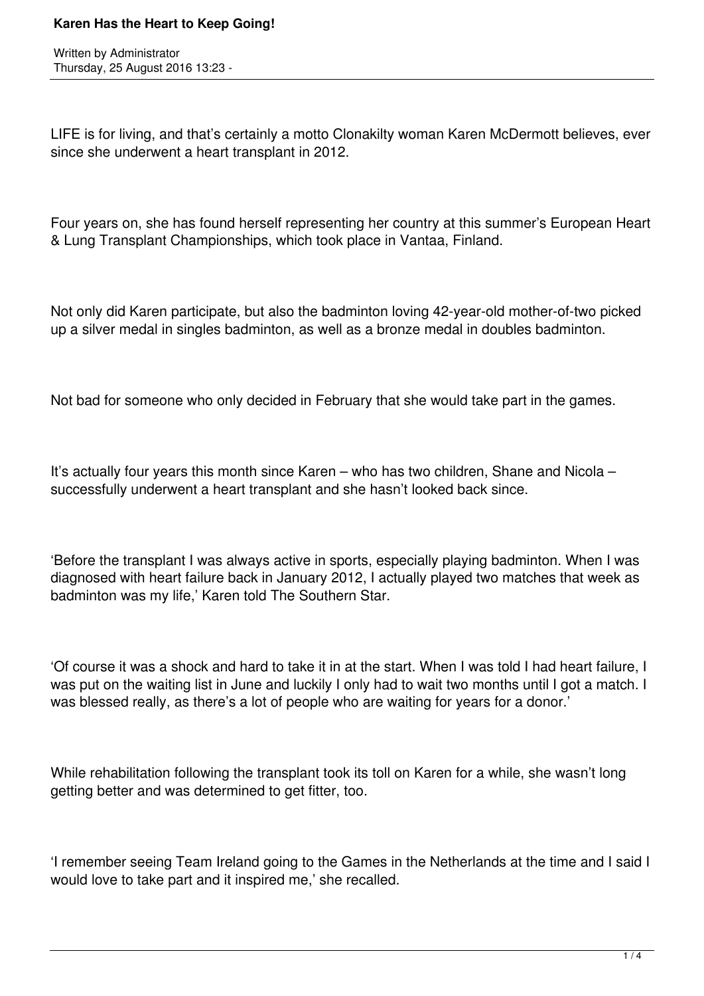## **Karen Has the Heart to Keep Going!**

Written by Administrator Thursday, 25 August 2016 13:23 -

LIFE is for living, and that's certainly a motto Clonakilty woman Karen McDermott believes, ever since she underwent a heart transplant in 2012.

Four years on, she has found herself representing her country at this summer's European Heart & Lung Transplant Championships, which took place in Vantaa, Finland.

Not only did Karen participate, but also the badminton loving 42-year-old mother-of-two picked up a silver medal in singles badminton, as well as a bronze medal in doubles badminton.

Not bad for someone who only decided in February that she would take part in the games.

It's actually four years this month since Karen – who has two children, Shane and Nicola – successfully underwent a heart transplant and she hasn't looked back since.

'Before the transplant I was always active in sports, especially playing badminton. When I was diagnosed with heart failure back in January 2012, I actually played two matches that week as badminton was my life,' Karen told The Southern Star.

'Of course it was a shock and hard to take it in at the start. When I was told I had heart failure, I was put on the waiting list in June and luckily I only had to wait two months until I got a match. I was blessed really, as there's a lot of people who are waiting for years for a donor.'

While rehabilitation following the transplant took its toll on Karen for a while, she wasn't long getting better and was determined to get fitter, too.

'I remember seeing Team Ireland going to the Games in the Netherlands at the time and I said I would love to take part and it inspired me,' she recalled.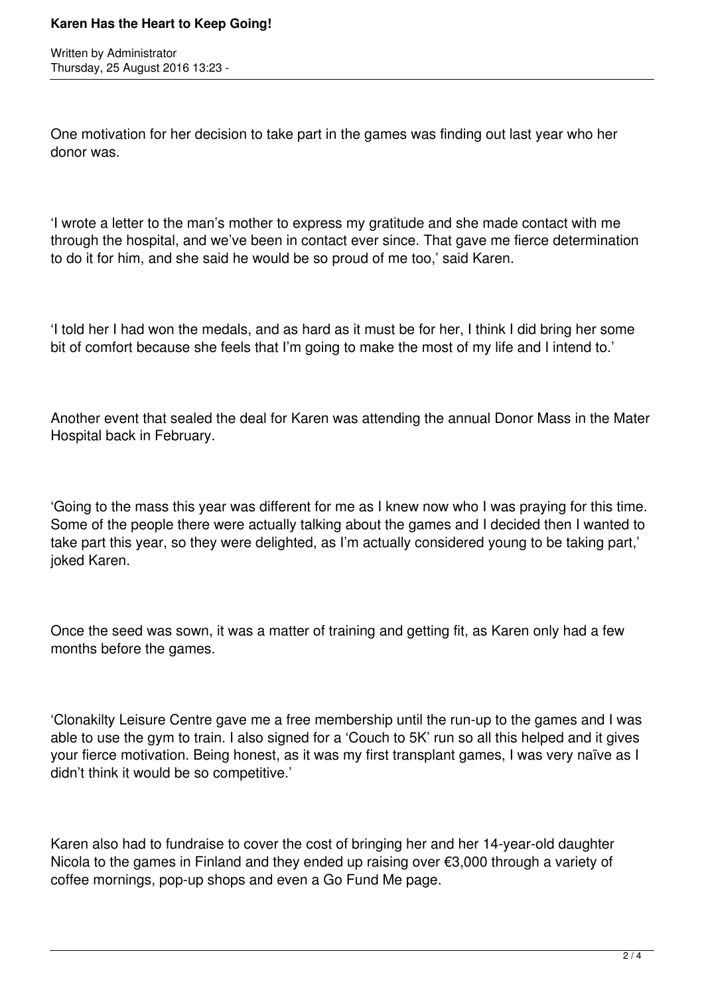## **Karen Has the Heart to Keep Going!**

Written by Administrator Thursday, 25 August 2016 13:23 -

One motivation for her decision to take part in the games was finding out last year who her donor was.

'I wrote a letter to the man's mother to express my gratitude and she made contact with me through the hospital, and we've been in contact ever since. That gave me fierce determination to do it for him, and she said he would be so proud of me too,' said Karen.

'I told her I had won the medals, and as hard as it must be for her, I think I did bring her some bit of comfort because she feels that I'm going to make the most of my life and I intend to.'

Another event that sealed the deal for Karen was attending the annual Donor Mass in the Mater Hospital back in February.

'Going to the mass this year was different for me as I knew now who I was praying for this time. Some of the people there were actually talking about the games and I decided then I wanted to take part this year, so they were delighted, as I'm actually considered young to be taking part,' joked Karen.

Once the seed was sown, it was a matter of training and getting fit, as Karen only had a few months before the games.

'Clonakilty Leisure Centre gave me a free membership until the run-up to the games and I was able to use the gym to train. I also signed for a 'Couch to 5K' run so all this helped and it gives your fierce motivation. Being honest, as it was my first transplant games, I was very naïve as I didn't think it would be so competitive.'

Karen also had to fundraise to cover the cost of bringing her and her 14-year-old daughter Nicola to the games in Finland and they ended up raising over €3,000 through a variety of coffee mornings, pop-up shops and even a Go Fund Me page.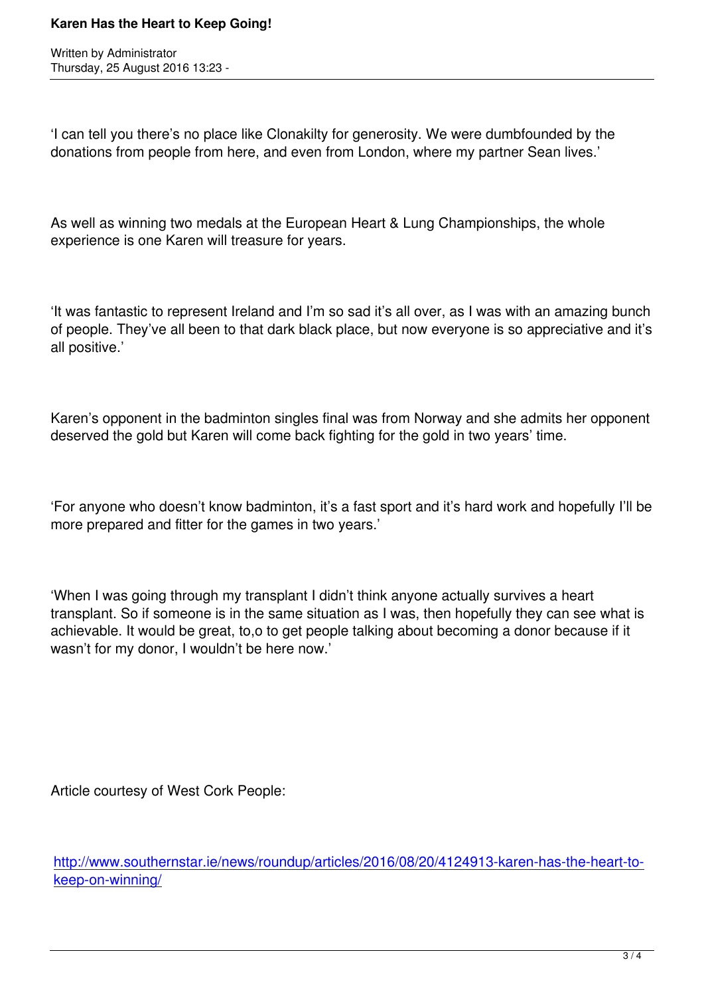Written by Administrator and Administrator and Administrator and Administrator and Administrator and Administrator and Administrator and Administrator and Administrator and Administrator and Administrator and Administrator

'I can tell you there's no place like Clonakilty for generosity. We were dumbfounded by the donations from people from here, and even from London, where my partner Sean lives.'

As well as winning two medals at the European Heart & Lung Championships, the whole experience is one Karen will treasure for years.

'It was fantastic to represent Ireland and I'm so sad it's all over, as I was with an amazing bunch of people. They've all been to that dark black place, but now everyone is so appreciative and it's all positive.'

Karen's opponent in the badminton singles final was from Norway and she admits her opponent deserved the gold but Karen will come back fighting for the gold in two years' time.

'For anyone who doesn't know badminton, it's a fast sport and it's hard work and hopefully I'll be more prepared and fitter for the games in two years.'

'When I was going through my transplant I didn't think anyone actually survives a heart transplant. So if someone is in the same situation as I was, then hopefully they can see what is achievable. It would be great, to,o to get people talking about becoming a donor because if it wasn't for my donor, I wouldn't be here now.'

Article courtesy of West Cork People:

http://www.southernstar.ie/news/roundup/articles/2016/08/20/4124913-karen-has-the-heart-tokeep-on-winning/